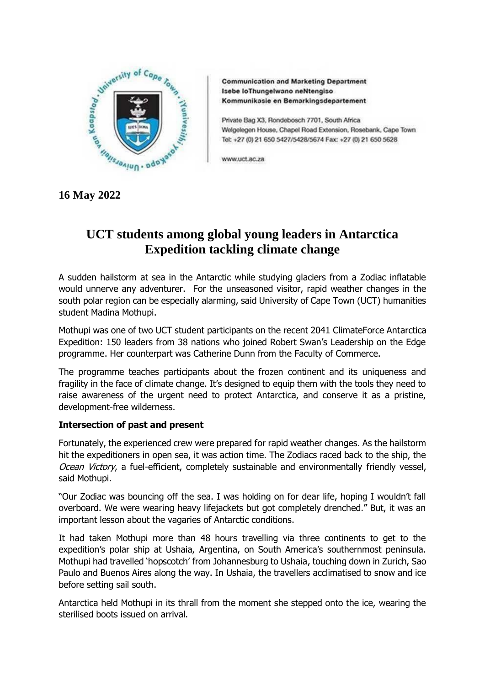

**Communication and Marketing Department** Isebe loThungelwano neNtengiso Kommunikasie en Bemarkingsdepartement

Private Bag X3, Rondebosch 7701, South Africa Welgelegen House, Chapel Road Extension, Rosebank, Cape Town Tel: +27 (0) 21 650 5427/5428/5674 Fax: +27 (0) 21 650 5628

www.uct.ac.za

**16 May 2022**

# **UCT students among global young leaders in Antarctica Expedition tackling climate change**

A sudden hailstorm at sea in the Antarctic while studying glaciers from a Zodiac inflatable would unnerve any adventurer. For the unseasoned visitor, rapid weather changes in the south polar region can be especially alarming, said University of Cape Town (UCT) humanities student Madina Mothupi.

Mothupi was one of two UCT student participants on the recent 2041 ClimateForce Antarctica Expedition: 150 leaders from 38 nations who joined Robert Swan's Leadership on the Edge programme. Her counterpart was Catherine Dunn from the Faculty of Commerce.

The programme teaches participants about the frozen continent and its uniqueness and fragility in the face of climate change. It's designed to equip them with the tools they need to raise awareness of the urgent need to protect Antarctica, and conserve it as a pristine, development-free wilderness.

# **Intersection of past and present**

Fortunately, the experienced crew were prepared for rapid weather changes. As the hailstorm hit the expeditioners in open sea, it was action time. The Zodiacs raced back to the ship, the Ocean Victory, a fuel-efficient, completely sustainable and environmentally friendly vessel, said Mothupi.

"Our Zodiac was bouncing off the sea. I was holding on for dear life, hoping I wouldn't fall overboard. We were wearing heavy lifejackets but got completely drenched." But, it was an important lesson about the vagaries of Antarctic conditions.

It had taken Mothupi more than 48 hours travelling via three continents to get to the expedition's polar ship at Ushaia, Argentina, on South America's southernmost peninsula. Mothupi had travelled 'hopscotch' from Johannesburg to Ushaia, touching down in Zurich, Sao Paulo and Buenos Aires along the way. In Ushaia, the travellers acclimatised to snow and ice before setting sail south.

Antarctica held Mothupi in its thrall from the moment she stepped onto the ice, wearing the sterilised boots issued on arrival.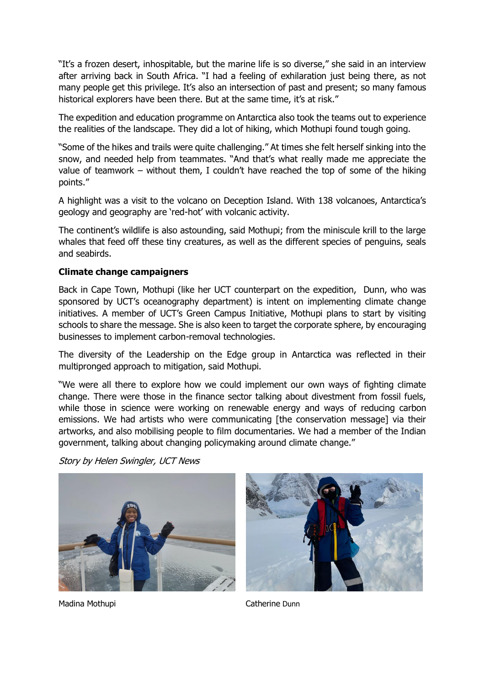"It's a frozen desert, inhospitable, but the marine life is so diverse," she said in an interview after arriving back in South Africa. "I had a feeling of exhilaration just being there, as not many people get this privilege. It's also an intersection of past and present; so many famous historical explorers have been there. But at the same time, it's at risk."

The expedition and education programme on Antarctica also took the teams out to experience the realities of the landscape. They did a lot of hiking, which Mothupi found tough going.

"Some of the hikes and trails were quite challenging." At times she felt herself sinking into the snow, and needed help from teammates. "And that's what really made me appreciate the value of teamwork – without them, I couldn't have reached the top of some of the hiking points."

A highlight was a visit to the volcano on Deception Island. With 138 volcanoes, Antarctica's geology and geography are 'red-hot' with volcanic activity.

The continent's wildlife is also astounding, said Mothupi; from the miniscule krill to the large whales that feed off these tiny creatures, as well as the different species of penguins, seals and seabirds.

# **Climate change campaigners**

Back in Cape Town, Mothupi (like her UCT counterpart on the expedition, Dunn, who was sponsored by UCT's oceanography department) is intent on implementing climate change initiatives. A member of UCT's Green Campus Initiative, Mothupi plans to start by visiting schools to share the message. She is also keen to target the corporate sphere, by encouraging businesses to implement carbon-removal technologies.

The diversity of the Leadership on the Edge group in Antarctica was reflected in their multipronged approach to mitigation, said Mothupi.

"We were all there to explore how we could implement our own ways of fighting climate change. There were those in the finance sector talking about divestment from fossil fuels, while those in science were working on renewable energy and ways of reducing carbon emissions. We had artists who were communicating [the conservation message] via their artworks, and also mobilising people to film documentaries. We had a member of the Indian government, talking about changing policymaking around climate change."

Story by Helen Swingler, UCT News





Madina Mothupi Catherine Dunn